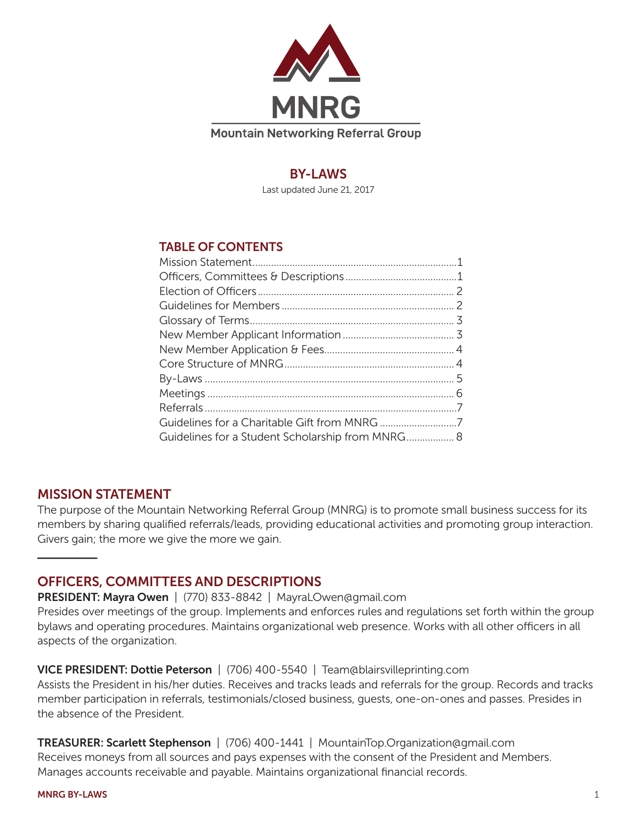

# **BY-LAWS**

Last updated June 21, 2017

# TABLE OF CONTENTS

| Guidelines for a Student Scholarship from MNRG 8 |
|--------------------------------------------------|
|                                                  |

# MISSION STATEMENT

**\_\_\_\_\_\_\_\_\_**

The purpose of the Mountain Networking Referral Group (MNRG) is to promote small business success for its members by sharing qualified referrals/leads, providing educational activities and promoting group interaction. Givers gain; the more we give the more we gain.

# OFFICERS, COMMITTEES AND DESCRIPTIONS

PRESIDENT: Mayra Owen | (770) 833-8842 | MayraLOwen@gmail.com

Presides over meetings of the group. Implements and enforces rules and regulations set forth within the group bylaws and operating procedures. Maintains organizational web presence. Works with all other officers in all aspects of the organization.

VICE PRESIDENT: Dottie Peterson | (706) 400-5540 | Team@blairsvilleprinting.com

Assists the President in his/her duties. Receives and tracks leads and referrals for the group. Records and tracks member participation in referrals, testimonials/closed business, guests, one-on-ones and passes. Presides in the absence of the President.

TREASURER: Scarlett Stephenson | (706) 400-1441 | MountainTop.Organization@gmail.com Receives moneys from all sources and pays expenses with the consent of the President and Members. Manages accounts receivable and payable. Maintains organizational financial records.

MNRG BY-LAWS 1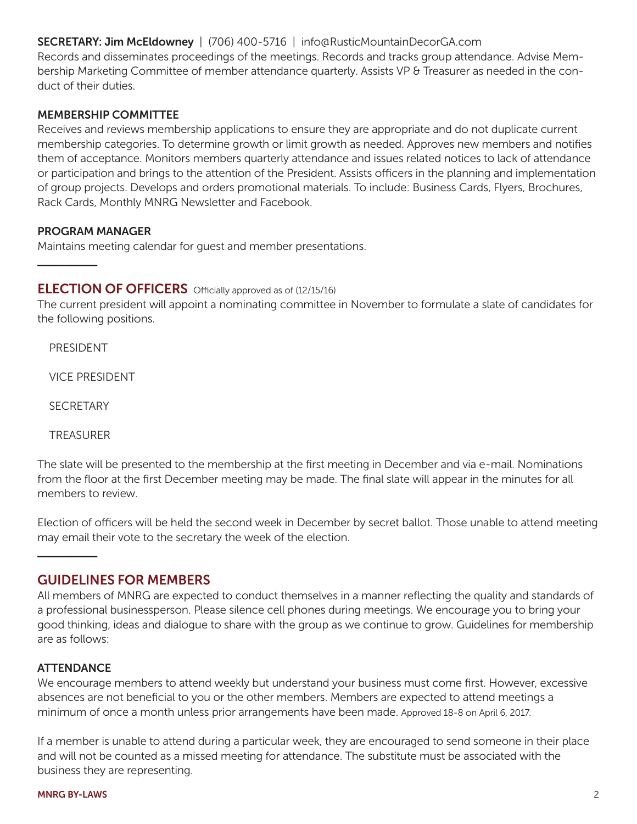## SECRETARY: Jim McEldowney | (706) 400-5716 | info@RusticMountainDecorGA.com

Records and disseminates proceedings of the meetings. Records and tracks group attendance. Advise Membership Marketing Committee of member attendance quarterly. Assists VP & Treasurer as needed in the conduct of their duties.

### MEMBERSHIP COMMITTEE

Receives and reviews membership applications to ensure they are appropriate and do not duplicate current membership categories. To determine growth or limit growth as needed. Approves new members and notifies them of acceptance. Monitors members quarterly attendance and issues related notices to lack of attendance or participation and brings to the attention of the President. Assists officers in the planning and implementation of group projects. Develops and orders promotional materials. To include: Business Cards, Flyers, Brochures, Rack Cards, Monthly MNRG Newsletter and Facebook.

### PROGRAM MANAGER

Maintains meeting calendar for guest and member presentations.

## **ELECTION OF OFFICERS** Officially approved as of (12/15/16)

The current president will appoint a nominating committee in November to formulate a slate of candidates for the following positions.

PRESIDENT

**\_\_\_\_\_\_\_\_\_**

VICE PRESIDENT

**SECRETARY** 

TREASURER

The slate will be presented to the membership at the first meeting in December and via e-mail. Nominations from the floor at the first December meeting may be made. The final slate will appear in the minutes for all members to review.

Election of officers will be held the second week in December by secret ballot. Those unable to attend meeting may email their vote to the secretary the week of the election.

### GUIDELINES FOR MEMBERS

All members of MNRG are expected to conduct themselves in a manner reflecting the quality and standards of a professional businessperson. Please silence cell phones during meetings. We encourage you to bring your good thinking, ideas and dialogue to share with the group as we continue to grow. Guidelines for membership are as follows:

### ATTENDANCE

**\_\_\_\_\_\_\_\_\_**

We encourage members to attend weekly but understand your business must come first. However, excessive absences are not beneficial to you or the other members. Members are expected to attend meetings a minimum of once a month unless prior arrangements have been made. Approved 18-8 on April 6, 2017.

If a member is unable to attend during a particular week, they are encouraged to send someone in their place and will not be counted as a missed meeting for attendance. The substitute must be associated with the business they are representing.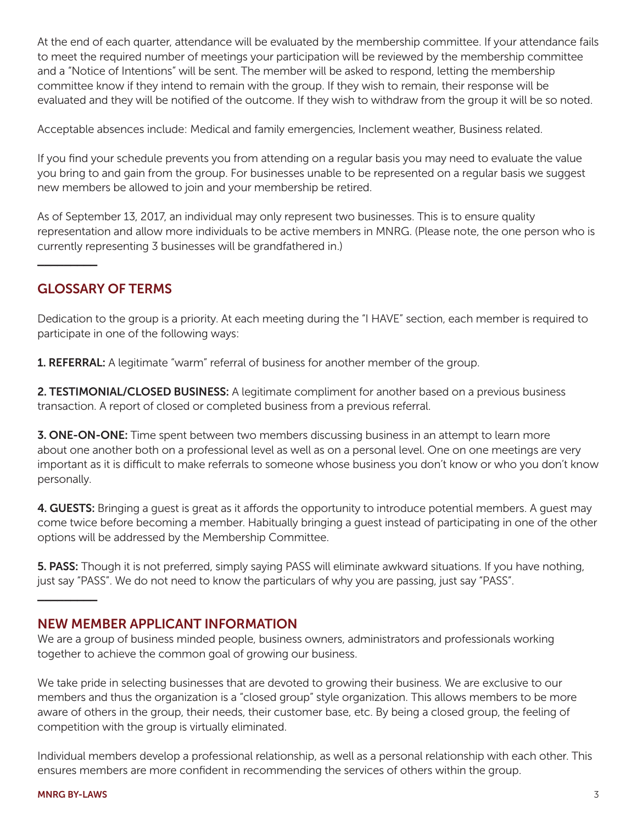At the end of each quarter, attendance will be evaluated by the membership committee. If your attendance fails to meet the required number of meetings your participation will be reviewed by the membership committee and a "Notice of Intentions" will be sent. The member will be asked to respond, letting the membership committee know if they intend to remain with the group. If they wish to remain, their response will be evaluated and they will be notified of the outcome. If they wish to withdraw from the group it will be so noted.

Acceptable absences include: Medical and family emergencies, Inclement weather, Business related.

If you find your schedule prevents you from attending on a regular basis you may need to evaluate the value you bring to and gain from the group. For businesses unable to be represented on a regular basis we suggest new members be allowed to join and your membership be retired.

As of September 13, 2017, an individual may only represent two businesses. This is to ensure quality representation and allow more individuals to be active members in MNRG. (Please note, the one person who is currently representing 3 businesses will be grandfathered in.)

# GLOSSARY OF TERMS

**\_\_\_\_\_\_\_\_\_**

Dedication to the group is a priority. At each meeting during the "I HAVE" section, each member is required to participate in one of the following ways:

**1. REFERRAL:** A legitimate "warm" referral of business for another member of the group.

2. TESTIMONIAL/CLOSED BUSINESS: A legitimate compliment for another based on a previous business transaction. A report of closed or completed business from a previous referral.

**3. ONE-ON-ONE:** Time spent between two members discussing business in an attempt to learn more about one another both on a professional level as well as on a personal level. One on one meetings are very important as it is difficult to make referrals to someone whose business you don't know or who you don't know personally.

4. GUESTS: Bringing a guest is great as it affords the opportunity to introduce potential members. A guest may come twice before becoming a member. Habitually bringing a guest instead of participating in one of the other options will be addressed by the Membership Committee.

5. PASS: Though it is not preferred, simply saying PASS will eliminate awkward situations. If you have nothing, just say "PASS". We do not need to know the particulars of why you are passing, just say "PASS".

# NEW MEMBER APPLICANT INFORMATION

We are a group of business minded people, business owners, administrators and professionals working together to achieve the common goal of growing our business.

We take pride in selecting businesses that are devoted to growing their business. We are exclusive to our members and thus the organization is a "closed group" style organization. This allows members to be more aware of others in the group, their needs, their customer base, etc. By being a closed group, the feeling of competition with the group is virtually eliminated.

Individual members develop a professional relationship, as well as a personal relationship with each other. This ensures members are more confident in recommending the services of others within the group.

**\_\_\_\_\_\_\_\_\_**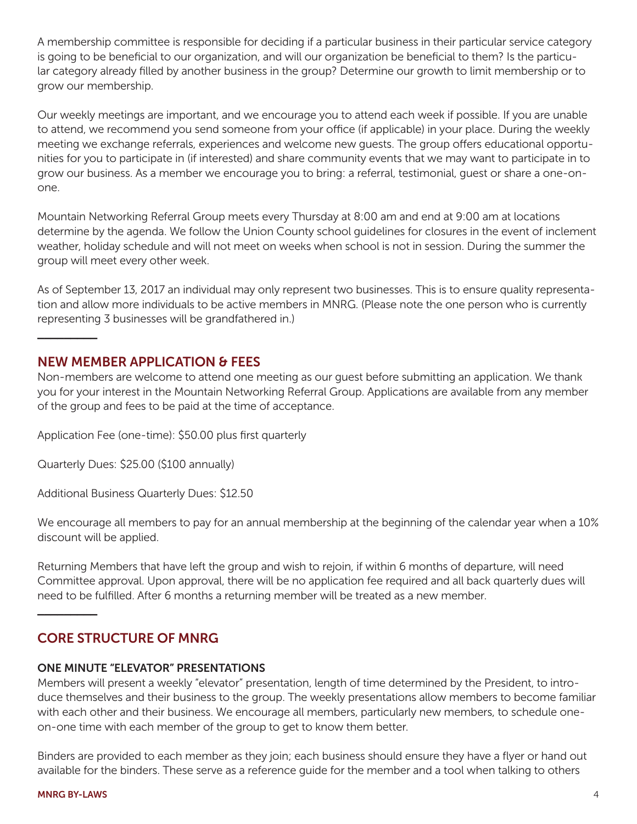A membership committee is responsible for deciding if a particular business in their particular service category is going to be beneficial to our organization, and will our organization be beneficial to them? Is the particular category already filled by another business in the group? Determine our growth to limit membership or to grow our membership.

Our weekly meetings are important, and we encourage you to attend each week if possible. If you are unable to attend, we recommend you send someone from your office (if applicable) in your place. During the weekly meeting we exchange referrals, experiences and welcome new guests. The group offers educational opportunities for you to participate in (if interested) and share community events that we may want to participate in to grow our business. As a member we encourage you to bring: a referral, testimonial, guest or share a one-onone.

Mountain Networking Referral Group meets every Thursday at 8:00 am and end at 9:00 am at locations determine by the agenda. We follow the Union County school guidelines for closures in the event of inclement weather, holiday schedule and will not meet on weeks when school is not in session. During the summer the group will meet every other week.

As of September 13, 2017 an individual may only represent two businesses. This is to ensure quality representation and allow more individuals to be active members in MNRG. (Please note the one person who is currently representing 3 businesses will be grandfathered in.)

# NEW MEMBER APPLICATION & FEES

**\_\_\_\_\_\_\_\_\_**

Non-members are welcome to attend one meeting as our guest before submitting an application. We thank you for your interest in the Mountain Networking Referral Group. Applications are available from any member of the group and fees to be paid at the time of acceptance.

Application Fee (one-time): \$50.00 plus first quarterly

Quarterly Dues: \$25.00 (\$100 annually)

Additional Business Quarterly Dues: \$12.50

We encourage all members to pay for an annual membership at the beginning of the calendar year when a 10% discount will be applied.

Returning Members that have left the group and wish to rejoin, if within 6 months of departure, will need Committee approval. Upon approval, there will be no application fee required and all back quarterly dues will need to be fulfilled. After 6 months a returning member will be treated as a new member.

# CORE STRUCTURE OF MNRG

### ONE MINUTE "ELEVATOR" PRESENTATIONS

Members will present a weekly "elevator" presentation, length of time determined by the President, to introduce themselves and their business to the group. The weekly presentations allow members to become familiar with each other and their business. We encourage all members, particularly new members, to schedule oneon-one time with each member of the group to get to know them better.

Binders are provided to each member as they join; each business should ensure they have a flyer or hand out available for the binders. These serve as a reference guide for the member and a tool when talking to others

**\_\_\_\_\_\_\_\_\_**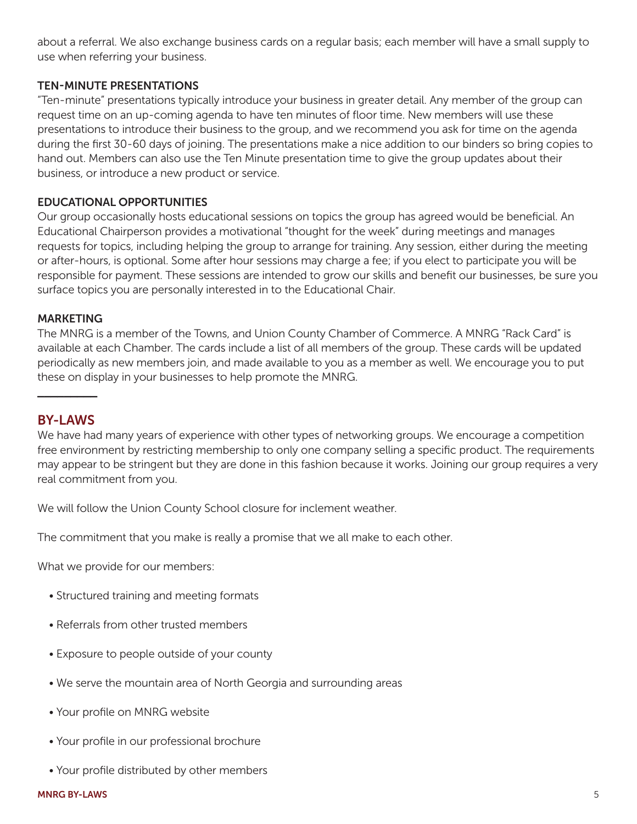about a referral. We also exchange business cards on a regular basis; each member will have a small supply to use when referring your business.

## TEN-MINUTE PRESENTATIONS

"Ten-minute" presentations typically introduce your business in greater detail. Any member of the group can request time on an up-coming agenda to have ten minutes of floor time. New members will use these presentations to introduce their business to the group, and we recommend you ask for time on the agenda during the first 30-60 days of joining. The presentations make a nice addition to our binders so bring copies to hand out. Members can also use the Ten Minute presentation time to give the group updates about their business, or introduce a new product or service.

## EDUCATIONAL OPPORTUNITIES

Our group occasionally hosts educational sessions on topics the group has agreed would be beneficial. An Educational Chairperson provides a motivational "thought for the week" during meetings and manages requests for topics, including helping the group to arrange for training. Any session, either during the meeting or after-hours, is optional. Some after hour sessions may charge a fee; if you elect to participate you will be responsible for payment. These sessions are intended to grow our skills and benefit our businesses, be sure you surface topics you are personally interested in to the Educational Chair.

#### **MARKETING**

The MNRG is a member of the Towns, and Union County Chamber of Commerce. A MNRG "Rack Card" is available at each Chamber. The cards include a list of all members of the group. These cards will be updated periodically as new members join, and made available to you as a member as well. We encourage you to put these on display in your businesses to help promote the MNRG.

# BY-LAWS

**\_\_\_\_\_\_\_\_\_**

We have had many years of experience with other types of networking groups. We encourage a competition free environment by restricting membership to only one company selling a specific product. The requirements may appear to be stringent but they are done in this fashion because it works. Joining our group requires a very real commitment from you.

We will follow the Union County School closure for inclement weather.

The commitment that you make is really a promise that we all make to each other.

What we provide for our members:

- Structured training and meeting formats
- Referrals from other trusted members
- Exposure to people outside of your county
- We serve the mountain area of North Georgia and surrounding areas
- Your profile on MNRG website
- Your profile in our professional brochure
- Your profile distributed by other members

#### MNRG BY-LAWS 5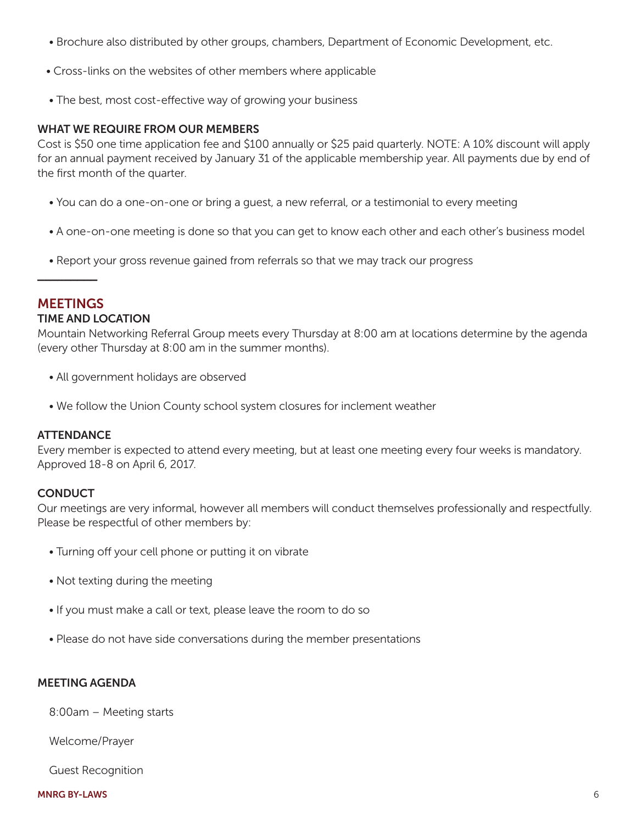- Brochure also distributed by other groups, chambers, Department of Economic Development, etc.
- Cross-links on the websites of other members where applicable
- The best, most cost-effective way of growing your business

#### WHAT WE REQUIRE FROM OUR MEMBERS

Cost is \$50 one time application fee and \$100 annually or \$25 paid quarterly. NOTE: A 10% discount will apply for an annual payment received by January 31 of the applicable membership year. All payments due by end of the first month of the quarter.

- You can do a one-on-one or bring a guest, a new referral, or a testimonial to every meeting
- A one-on-one meeting is done so that you can get to know each other and each other's business model
- Report your gross revenue gained from referrals so that we may track our progress

### **MEETINGS**

**\_\_\_\_\_\_\_\_\_**

#### TIME AND LOCATION

Mountain Networking Referral Group meets every Thursday at 8:00 am at locations determine by the agenda (every other Thursday at 8:00 am in the summer months).

- All government holidays are observed
- We follow the Union County school system closures for inclement weather

#### **ATTENDANCE**

Every member is expected to attend every meeting, but at least one meeting every four weeks is mandatory. Approved 18-8 on April 6, 2017.

### **CONDUCT**

Our meetings are very informal, however all members will conduct themselves professionally and respectfully. Please be respectful of other members by:

- Turning off your cell phone or putting it on vibrate
- Not texting during the meeting
- If you must make a call or text, please leave the room to do so
- Please do not have side conversations during the member presentations

## MEETING AGENDA

8:00am – Meeting starts

Welcome/Prayer

Guest Recognition

#### MNRG BY-LAWS 6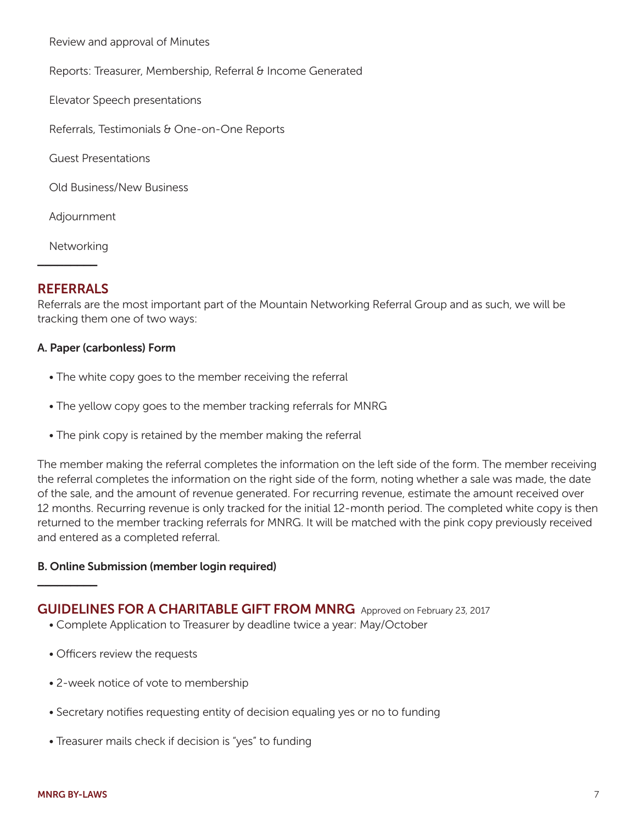Review and approval of Minutes

Reports: Treasurer, Membership, Referral & Income Generated

Elevator Speech presentations

Referrals, Testimonials & One-on-One Reports

Guest Presentations

Old Business/New Business

Adjournment

Networking

# REFERRALS

**\_\_\_\_\_\_\_\_\_**

Referrals are the most important part of the Mountain Networking Referral Group and as such, we will be tracking them one of two ways:

#### A. Paper (carbonless) Form

- The white copy goes to the member receiving the referral
- The yellow copy goes to the member tracking referrals for MNRG
- The pink copy is retained by the member making the referral

The member making the referral completes the information on the left side of the form. The member receiving the referral completes the information on the right side of the form, noting whether a sale was made, the date of the sale, and the amount of revenue generated. For recurring revenue, estimate the amount received over 12 months. Recurring revenue is only tracked for the initial 12-month period. The completed white copy is then returned to the member tracking referrals for MNRG. It will be matched with the pink copy previously received and entered as a completed referral.

### B. Online Submission (member login required)

# GUIDELINES FOR A CHARITABLE GIFT FROM MNRG Approved on February 23, 2017

- Complete Application to Treasurer by deadline twice a year: May/October
- Officers review the requests
- 2-week notice of vote to membership
- Secretary notifies requesting entity of decision equaling yes or no to funding
- Treasurer mails check if decision is "yes" to funding

**\_\_\_\_\_\_\_\_\_**